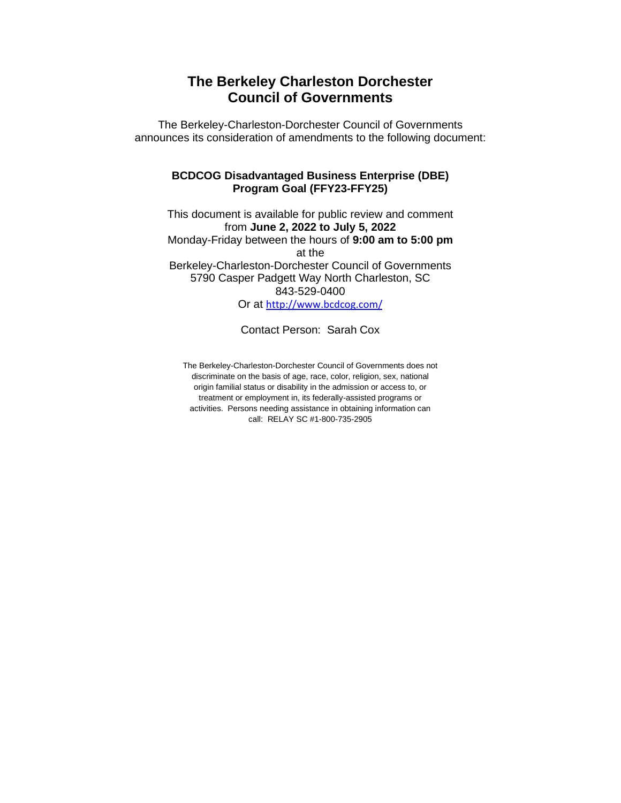### **The Berkeley Charleston Dorchester Council of Governments**

The Berkeley-Charleston-Dorchester Council of Governments announces its consideration of amendments to the following document:

#### **BCDCOG Disadvantaged Business Enterprise (DBE) Program Goal (FFY23-FFY25)**

This document is available for public review and comment from **June 2, 2022 to July 5, 2022** Monday-Friday between the hours of **9:00 am to 5:00 pm** at the Berkeley-Charleston-Dorchester Council of Governments 5790 Casper Padgett Way North Charleston, SC 843-529-0400 Or at [http://www.bcdcog.com/](https://www.bcdcog.com/)

Contact Person: Sarah Cox

The Berkeley-Charleston-Dorchester Council of Governments does not discriminate on the basis of age, race, color, religion, sex, national origin familial status or disability in the admission or access to, or treatment or employment in, its federally-assisted programs or activities. Persons needing assistance in obtaining information can call: RELAY SC #1-800-735-2905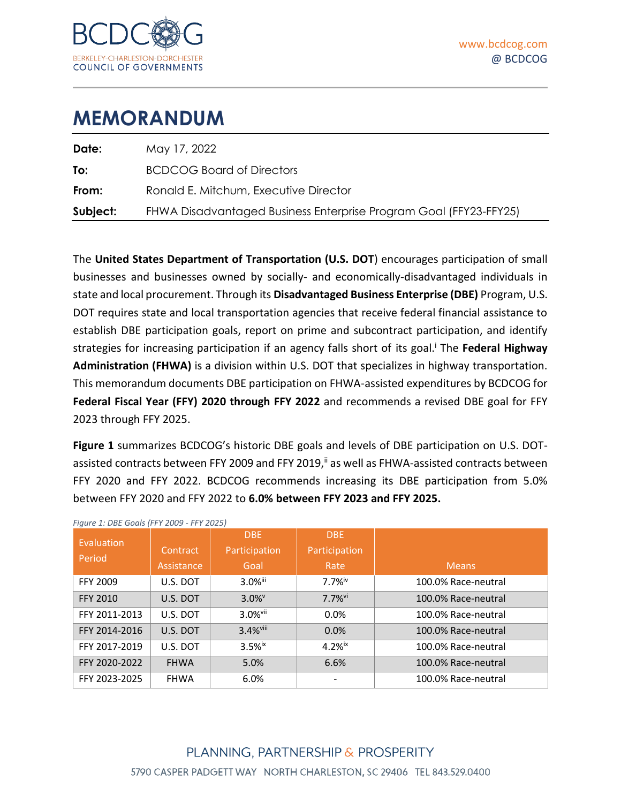

| Date:    | May 17, 2022                                                      |
|----------|-------------------------------------------------------------------|
| To:      | <b>BCDCOG Board of Directors</b>                                  |
| From:    | Ronald E. Mitchum, Executive Director                             |
| Subject: | FHWA Disadvantaged Business Enterprise Program Goal (FFY23-FFY25) |
|          |                                                                   |

The **United States Department of Transportation (U.S. DOT**) encourages participation of small businesses and businesses owned by socially- and economically-disadvantaged individuals in state and local procurement. Through its **Disadvantaged Business Enterprise (DBE)** Program, U.S. DOT requires state and local transportation agencies that receive federal financial assistance to establish DBE participation goals, report on prime and subcontract participation, and identify strategies for increasing participation if an agency falls short of its goal.<sup>i</sup> The Federal Highway **Administration (FHWA)** is a division within U.S. DOT that specializes in highway transportation. This memorandum documents DBE participation on FHWA-assisted expenditures by BCDCOG for **Federal Fiscal Year (FFY) 2020 through FFY 2022** and recommends a revised DBE goal for FFY 2023 through FFY 2025.

**[Figure 1](#page-1-0)** summarizes BCDCOG's historic DBE goals and levels of DBE participation on U.S. DOTassisted contracts between FFY 2009 and FFY 2019, ii as well as FHWA-assisted contracts between FFY 2020 and FFY 2022. BCDCOG recommends increasing its DBE participation from 5.0% between FFY 2020 and FFY 2022 to **6.0% between FFY 2023 and FFY 2025.**

<span id="page-1-1"></span>

| Evaluation      |             | <b>DBE</b>            | DBE                  |                     |
|-----------------|-------------|-----------------------|----------------------|---------------------|
| Period          | Contract    | Participation         | Participation        |                     |
|                 | Assistance  | Goal                  | Rate                 | Means.              |
| FFY 2009        | U.S. DOT    | 3.0%iii               | 7.7%iv               | 100.0% Race-neutral |
| <b>FFY 2010</b> | U.S. DOT    | $3.0\%$ <sup>v</sup>  | 7.7%vi               | 100.0% Race-neutral |
| FFY 2011-2013   | U.S. DOT    | $3.0%$ <sup>vii</sup> | 0.0%                 | 100.0% Race-neutral |
| FFY 2014-2016   | U.S. DOT    | 3.4% <sup>viii</sup>  | 0.0%                 | 100.0% Race-neutral |
| FFY 2017-2019   | U.S. DOT    | $3.5%$ ix             | $4.2%$ <sup>ix</sup> | 100.0% Race-neutral |
| FFY 2020-2022   | <b>FHWA</b> | 5.0%                  | 6.6%                 | 100.0% Race-neutral |
| FFY 2023-2025   | <b>FHWA</b> | 6.0%                  |                      | 100.0% Race-neutral |

<span id="page-1-0"></span>*Figure 1: DBE Goals (FFY 2009 - FFY 2025)*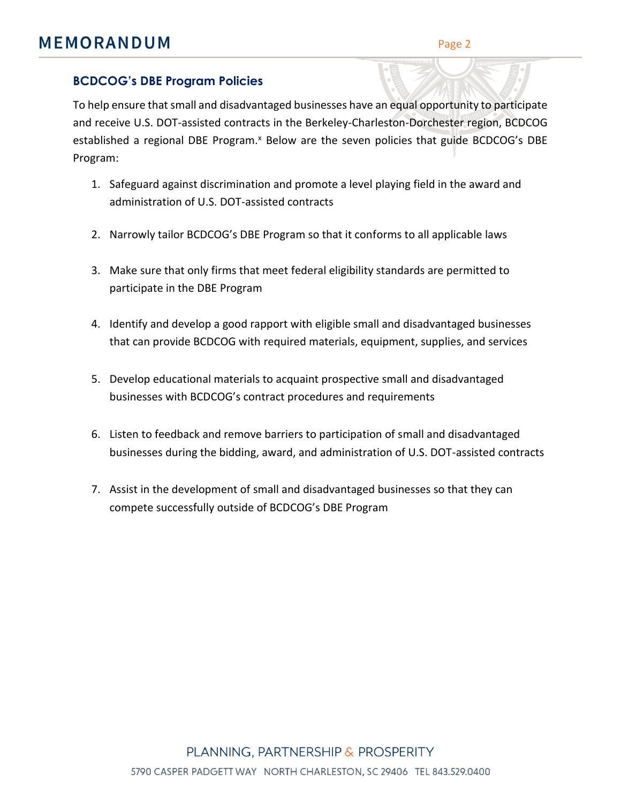### **BCDCOG's DBE Program Policies**

To help ensure that small and disadvantaged businesses have an equal opportunity to participate and receive U.S. DOT-assisted contracts in the Berkeley-Charleston-Dorchester region, BCDCOG established a regional DBE Program.<sup>x</sup> Below are the seven policies that guide BCDCOG's DBE Program:

- 1. Safeguard against discrimination and promote a level playing field in the award and administration of U.S. DOT-assisted contracts
- 2. Narrowly tailor BCDCOG's DBE Program so that it conforms to all applicable laws
- 3. Make sure that only firms that meet federal eligibility standards are permitted to participate in the DBE Program
- 4. Identify and develop a good rapport with eligible small and disadvantaged businesses that can provide BCDCOG with required materials, equipment, supplies, and services
- 5. Develop educational materials to acquaint prospective small and disadvantaged businesses with BCDCOG's contract procedures and requirements
- 6. Listen to feedback and remove barriers to participation of small and disadvantaged businesses during the bidding, award, and administration of U.S. DOT-assisted contracts
- 7. Assist in the development of small and disadvantaged businesses so that they can compete successfully outside of BCDCOG's DBE Program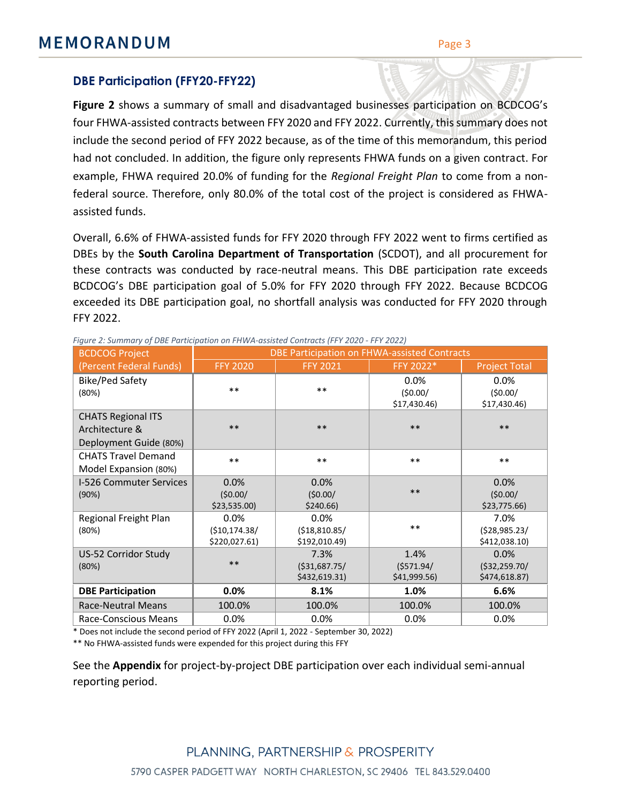### **DBE Participation (FFY20-FFY22)**

**[Figure 2](#page-3-0)** shows a summary of small and disadvantaged businesses participation on BCDCOG's four FHWA-assisted contracts between FFY 2020 and FFY 2022. Currently, this summary does not include the second period of FFY 2022 because, as of the time of this memorandum, this period had not concluded. In addition, the figure only represents FHWA funds on a given contract. For example, FHWA required 20.0% of funding for the *Regional Freight Plan* to come from a nonfederal source. Therefore, only 80.0% of the total cost of the project is considered as FHWAassisted funds.

Overall, 6.6% of FHWA-assisted funds for FFY 2020 through FFY 2022 went to firms certified as DBEs by the **South Carolina Department of Transportation** (SCDOT), and all procurement for these contracts was conducted by race-neutral means. This DBE participation rate exceeds BCDCOG's DBE participation goal of 5.0% for FFY 2020 through FFY 2022. Because BCDCOG exceeded its DBE participation goal, no shortfall analysis was conducted for FFY 2020 through FFY 2022.

| <b>BCDCOG Project</b>                                                 | DBE Participation on FHWA-assisted Contracts |                                          |                                    |                                          |  |  |  |
|-----------------------------------------------------------------------|----------------------------------------------|------------------------------------------|------------------------------------|------------------------------------------|--|--|--|
| (Percent Federal Funds)                                               | <b>FFY 2020</b>                              | <b>FFY 2021</b>                          | FFY 2022*                          | <b>Project Total</b>                     |  |  |  |
| <b>Bike/Ped Safety</b><br>(80%)                                       | $***$                                        | $***$                                    | 0.0%<br>(50.00/<br>\$17,430.46     | 0.0%<br>(50.00/<br>\$17,430.46           |  |  |  |
| <b>CHATS Regional ITS</b><br>Architecture &<br>Deployment Guide (80%) | $***$                                        | **                                       | $***$                              | $***$                                    |  |  |  |
| <b>CHATS Travel Demand</b><br>Model Expansion (80%)                   | $***$                                        | $***$                                    | $***$                              | $***$                                    |  |  |  |
| I-526 Commuter Services<br>(90%)                                      | 0.0%<br>(50.00/<br>\$23,535.00               | 0.0%<br>(50.00/<br>\$240.66              | $***$                              | 0.0%<br>(50.00/<br>\$23,775.66           |  |  |  |
| Regional Freight Plan<br>(80%)                                        | 0.0%<br>( \$10,174.38/<br>\$220,027.61)      | 0.0%<br>( \$18, 810.85/<br>\$192,010.49) | $***$                              | 7.0%<br>(528, 985.23)<br>\$412,038.10)   |  |  |  |
| US-52 Corridor Study<br>(80%)                                         | $***$                                        | 7.3%<br>( \$31,687.75/<br>\$432,619.31)  | 1.4%<br>(5571.94/<br>\$41,999.56\$ | 0.0%<br>( \$32, 259.70/<br>\$474,618.87) |  |  |  |
| <b>DBE Participation</b>                                              | 0.0%                                         | 8.1%                                     | 1.0%                               | 6.6%                                     |  |  |  |
| <b>Race-Neutral Means</b>                                             | 100.0%                                       | 100.0%                                   | 100.0%                             | 100.0%                                   |  |  |  |
| Race-Conscious Means                                                  | 0.0%                                         | 0.0%                                     | 0.0%                               | 0.0%                                     |  |  |  |

<span id="page-3-0"></span>*Figure 2: Summary of DBE Participation on FHWA-assisted Contracts (FFY 2020 - FFY 2022)*

\* Does not include the second period of FFY 2022 (April 1, 2022 - September 30, 2022)

\*\* No FHWA-assisted funds were expended for this project during this FFY

See the **Appendix** for project-by-project DBE participation over each individual semi-annual reporting period.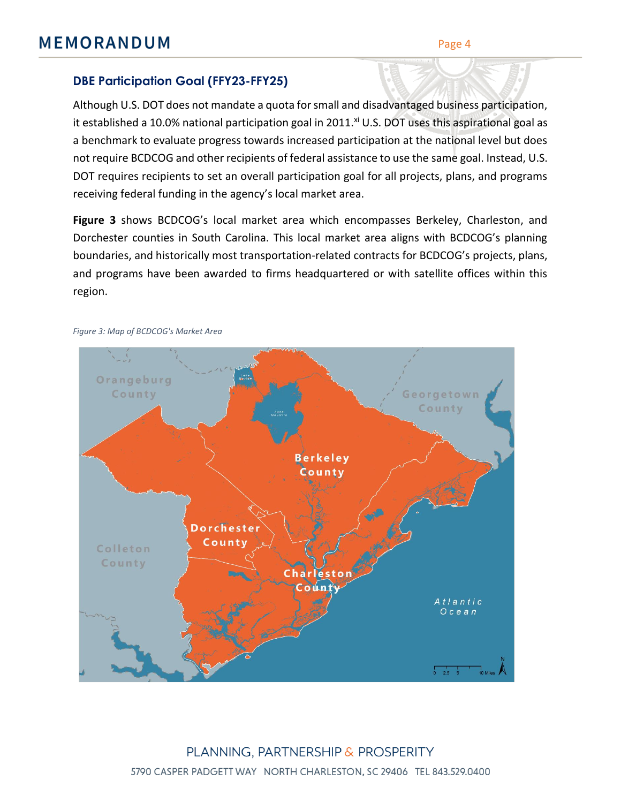### **DBE Participation Goal (FFY23-FFY25)**

Although U.S. DOT does not mandate a quota for small and disadvantaged business participation, it established a 10.0% national participation goal in 2011. $^{xi}$  U.S. DOT uses this aspirational goal as a benchmark to evaluate progress towards increased participation at the national level but does not require BCDCOG and other recipients of federal assistance to use the same goal. Instead, U.S. DOT requires recipients to set an overall participation goal for all projects, plans, and programs receiving federal funding in the agency's local market area.

**[Figure 3](#page-4-0)** shows BCDCOG's local market area which encompasses Berkeley, Charleston, and Dorchester counties in South Carolina. This local market area aligns with BCDCOG's planning boundaries, and historically most transportation-related contracts for BCDCOG's projects, plans, and programs have been awarded to firms headquartered or with satellite offices within this region.



#### <span id="page-4-0"></span>*Figure 3: Map of BCDCOG's Market Area*

PLANNING, PARTNERSHIP & PROSPERITY 5790 CASPER PADGETT WAY NORTH CHARLESTON, SC 29406 TEL 843.529.0400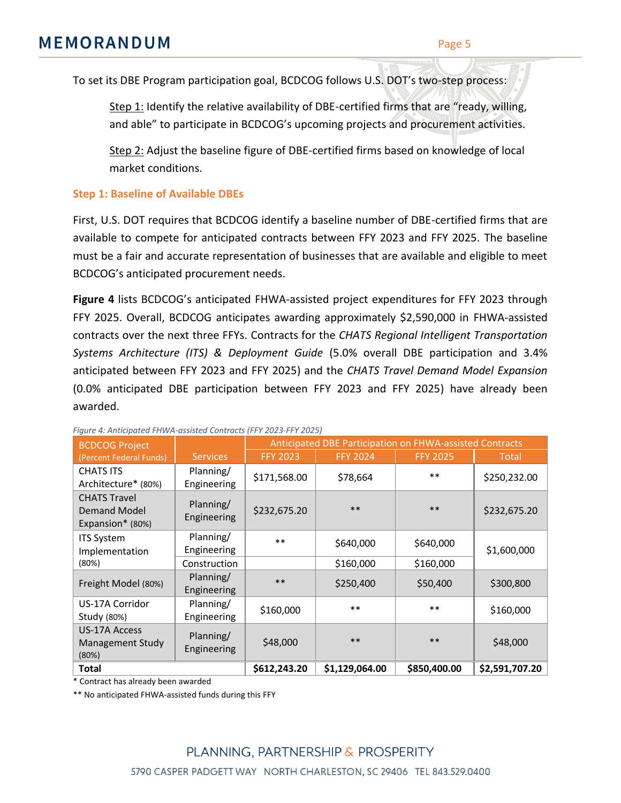To set its DBE Program participation goal, BCDCOG follows U.S. DOT's two-step process:

Step 1: Identify the relative availability of DBE-certified firms that are "ready, willing, and able" to participate in BCDCOG's upcoming projects and procurement activities.

Step 2: Adjust the baseline figure of DBE-certified firms based on knowledge of local market conditions.

#### **Step 1: Baseline of Available DBEs**

First, U.S. DOT requires that BCDCOG identify a baseline number of DBE-certified firms that are available to compete for anticipated contracts between FFY 2023 and FFY 2025. The baseline must be a fair and accurate representation of businesses that are available and eligible to meet BCDCOG's anticipated procurement needs.

**[Figure 4](#page-5-0)** lists BCDCOG's anticipated FHWA-assisted project expenditures for FFY 2023 through FFY 2025. Overall, BCDCOG anticipates awarding approximately \$2,590,000 in FHWA-assisted contracts over the next three FFYs. Contracts for the *CHATS Regional Intelligent Transportation Systems Architecture (ITS) & Deployment Guide* (5.0% overall DBE participation and 3.4% anticipated between FFY 2023 and FFY 2025) and the *CHATS Travel Demand Model Expansion* (0.0% anticipated DBE participation between FFY 2023 and FFY 2025) have already been awarded.

| rigure 4: Anticipated FHWA-assisted Contracts (FF1 2023-FF1 2025)<br><b>BCDCOG Project</b> |                          | Anticipated DBE Participation on FHWA-assisted Contracts |                 |                 |                |  |
|--------------------------------------------------------------------------------------------|--------------------------|----------------------------------------------------------|-----------------|-----------------|----------------|--|
| (Percent Federal Funds)                                                                    | <b>Services</b>          | <b>FFY 2023</b>                                          | <b>FFY 2024</b> | <b>FFY 2025</b> | Total          |  |
| <b>CHATS ITS</b><br>Architecture* (80%)                                                    | Planning/<br>Engineering | \$171,568.00                                             | \$78,664        | $***$           | \$250,232.00   |  |
| <b>CHATS Travel</b><br>Demand Model<br>Expansion* (80%)                                    | Planning/<br>Engineering | \$232,675.20                                             | $***$           | $***$           | \$232,675.20   |  |
| <b>ITS System</b><br>Implementation                                                        | Planning/<br>Engineering | $**$                                                     | \$640,000       | \$640,000       | \$1,600,000    |  |
| (80%)                                                                                      | Construction             |                                                          | \$160,000       | \$160,000       |                |  |
| Freight Model (80%)                                                                        | Planning/<br>Engineering | $***$                                                    | \$250,400       | \$50,400        | \$300,800      |  |
| US-17A Corridor<br>Study (80%)                                                             | Planning/<br>Engineering | \$160,000                                                | $***$           | $***$           | \$160,000      |  |
| <b>US-17A Access</b><br>Management Study<br>(80%)                                          | Planning/<br>Engineering | \$48,000                                                 | $***$           | $***$           | \$48,000       |  |
| Total                                                                                      |                          | \$612,243.20                                             | \$1,129,064.00  | \$850,400.00    | \$2,591,707.20 |  |

<span id="page-5-0"></span>*Figure 4: Anticipated FHWA-assisted Contracts (FFY 2023-FFY 2025)*

\* Contract has already been awarded

\*\* No anticipated FHWA-assisted funds during this FFY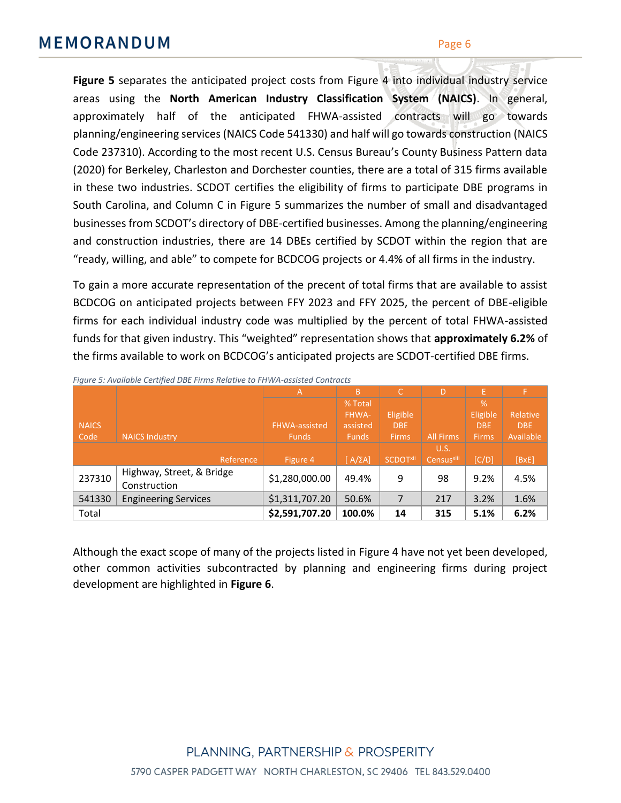**[Figure 5](#page-6-0)** separates the anticipated project costs from [Figure 4](#page-5-0) into individual industry service areas using the **North American Industry Classification System (NAICS)**. In general, approximately half of the anticipated FHWA-assisted contracts will go towards planning/engineering services (NAICS Code 541330) and half will go towards construction (NAICS Code 237310). According to the most recent U.S. Census Bureau's County Business Pattern data (2020) for Berkeley, Charleston and Dorchester counties, there are a total of 315 firms available in these two industries. SCDOT certifies the eligibility of firms to participate DBE programs in South Carolina, and Column C in [Figure 5](#page-6-0) summarizes the number of small and disadvantaged businesses from SCDOT's directory of DBE-certified businesses. Among the planning/engineering and construction industries, there are 14 DBEs certified by SCDOT within the region that are "ready, willing, and able" to compete for BCDCOG projects or 4.4% of all firms in the industry.

To gain a more accurate representation of the precent of total firms that are available to assist BCDCOG on anticipated projects between FFY 2023 and FFY 2025, the percent of DBE-eligible firms for each individual industry code was multiplied by the percent of total FHWA-assisted funds for that given industry. This "weighted" representation shows that **approximately 6.2%** of the firms available to work on BCDCOG's anticipated projects are SCDOT-certified DBE firms.

|              |                                           | A                    | B              | C                          | D                      | Ε            |            |
|--------------|-------------------------------------------|----------------------|----------------|----------------------------|------------------------|--------------|------------|
|              |                                           |                      | % Total        |                            |                        | %            |            |
|              |                                           |                      | FHWA-          | <b>Eligible</b>            |                        | Eligible     | Relative   |
| <b>NAICS</b> |                                           | <b>FHWA-assisted</b> | assisted       | DBE                        |                        | <b>DBE</b>   | <b>DBE</b> |
| Code         | <b>NAICS Industry</b>                     | <b>Funds</b>         | <b>Funds</b>   | <b>Firms</b>               | <b>All Firms</b>       | <b>Firms</b> | Available  |
|              |                                           |                      |                |                            | U.S.                   |              |            |
|              | Reference                                 | Figure 4             | $[A/\Sigma A]$ | <b>SCDOT<sup>xii</sup></b> | Census <sup>xiii</sup> | [C/D]        | [BXE]      |
| 237310       | Highway, Street, & Bridge<br>Construction | \$1,280,000.00       | 49.4%          | 9                          | 98                     | 9.2%         | 4.5%       |
|              |                                           |                      |                |                            |                        |              |            |
| 541330       | <b>Engineering Services</b>               | \$1,311,707.20       | 50.6%          | 7                          | 217                    | 3.2%         | 1.6%       |
| Total        |                                           | \$2,591,707.20       | 100.0%         | 14                         | 315                    | 5.1%         | 6.2%       |

<span id="page-6-0"></span>*Figure 5: Available Certified DBE Firms Relative to FHWA-assisted Contracts*

Although the exact scope of many of the projects listed in [Figure 4](#page-5-0) have not yet been developed, other common activities subcontracted by planning and engineering firms during project development are highlighted in **[Figure 6](#page-7-0)**.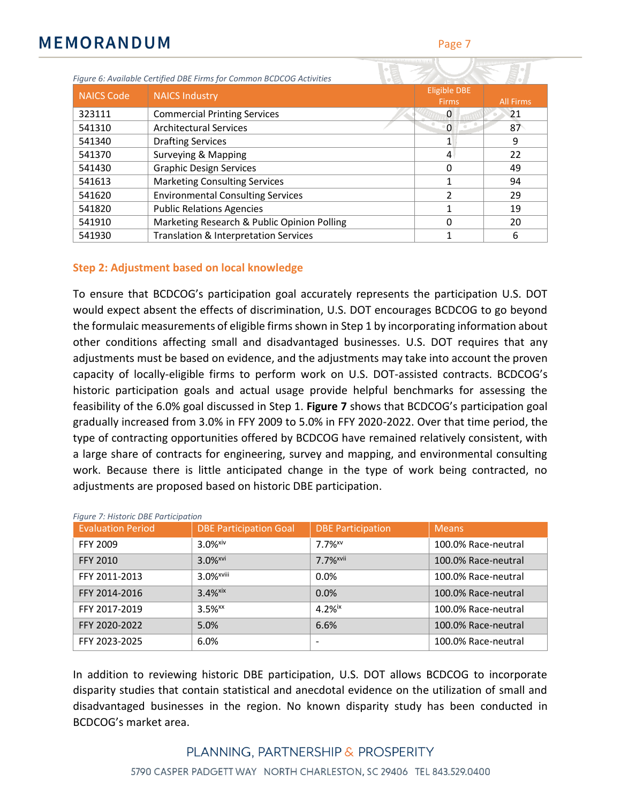<span id="page-7-0"></span>

| Figure 6: Available Certified DBE Firms for Common BCDCOG Activities |                                             |                                     |                  |  |
|----------------------------------------------------------------------|---------------------------------------------|-------------------------------------|------------------|--|
| <b>NAICS Code</b>                                                    | <b>NAICS Industry</b>                       | <b>Eligible DBE</b><br><b>Firms</b> | <b>All Firms</b> |  |
| 323111                                                               | <b>Commercial Printing Services</b>         | 0                                   | 21               |  |
| 541310                                                               | <b>Architectural Services</b>               | - 0                                 | 87               |  |
| 541340                                                               | <b>Drafting Services</b>                    |                                     | 9                |  |
| 541370                                                               | Surveying & Mapping                         | 4                                   | 22               |  |
| 541430                                                               | <b>Graphic Design Services</b>              | O                                   | 49               |  |
| 541613                                                               | <b>Marketing Consulting Services</b>        |                                     | 94               |  |
| 541620                                                               | <b>Environmental Consulting Services</b>    |                                     | 29               |  |
| 541820                                                               | <b>Public Relations Agencies</b>            |                                     | 19               |  |
| 541910                                                               | Marketing Research & Public Opinion Polling |                                     | 20               |  |
| 541930                                                               | Translation & Interpretation Services       |                                     | 6                |  |

#### **Step 2: Adjustment based on local knowledge**

To ensure that BCDCOG's participation goal accurately represents the participation U.S. DOT would expect absent the effects of discrimination, U.S. DOT encourages BCDCOG to go beyond the formulaic measurements of eligible firms shown in Step 1 by incorporating information about other conditions affecting small and disadvantaged businesses. U.S. DOT requires that any adjustments must be based on evidence, and the adjustments may take into account the proven capacity of locally-eligible firms to perform work on U.S. DOT-assisted contracts. BCDCOG's historic participation goals and actual usage provide helpful benchmarks for assessing the feasibility of the 6.0% goal discussed in Step 1. **[Figure 7](#page-7-1)** shows that BCDCOG's participation goal gradually increased from 3.0% in FFY 2009 to 5.0% in FFY 2020-2022. Over that time period, the type of contracting opportunities offered by BCDCOG have remained relatively consistent, with a large share of contracts for engineering, survey and mapping, and environmental consulting work. Because there is little anticipated change in the type of work being contracted, no adjustments are proposed based on historic DBE participation.

| <b>Evaluation Period</b> | <b>DBE Participation Goal</b> | <b>DBE Participation</b> | <b>Means</b>        |
|--------------------------|-------------------------------|--------------------------|---------------------|
| FFY 2009                 | $3.0%$ <sup>xiv</sup>         | $7.7%$ <sup>xv</sup>     | 100.0% Race-neutral |
| <b>FFY 2010</b>          | $3.0%$ <sup>xvi</sup>         | 7.7% <sup>xvii</sup>     | 100.0% Race-neutral |
| FFY 2011-2013            | $3.0%$ <sup>xviii</sup>       | 0.0%                     | 100.0% Race-neutral |
| FFY 2014-2016            | $3.4%$ <sup>xix</sup>         | 0.0%                     | 100.0% Race-neutral |
| FFY 2017-2019            | $3.5%$ <sup>xx</sup>          | $4.2%$ <sup>ix</sup>     | 100.0% Race-neutral |
| FFY 2020-2022            | 5.0%                          | 6.6%                     | 100.0% Race-neutral |
| FFY 2023-2025            | 6.0%                          | $\overline{\phantom{0}}$ | 100.0% Race-neutral |

<span id="page-7-1"></span>*Figure 7: Historic DBE Participation*

In addition to reviewing historic DBE participation, U.S. DOT allows BCDCOG to incorporate disparity studies that contain statistical and anecdotal evidence on the utilization of small and disadvantaged businesses in the region. No known disparity study has been conducted in BCDCOG's market area.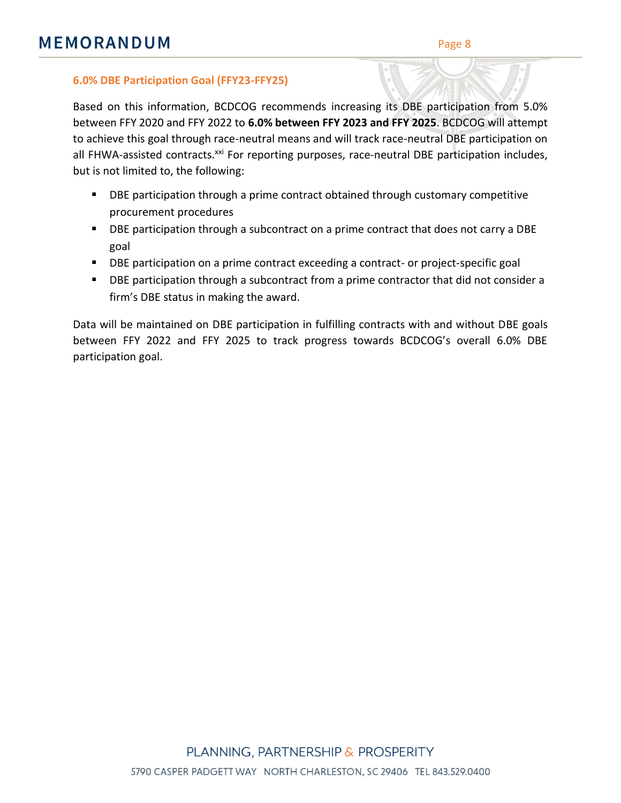#### **6.0% DBE Participation Goal (FFY23-FFY25)**

Based on this information, BCDCOG recommends increasing its DBE participation from 5.0% between FFY 2020 and FFY 2022 to **6.0% between FFY 2023 and FFY 2025**. BCDCOG will attempt to achieve this goal through race-neutral means and will track race-neutral DBE participation on all FHWA-assisted contracts.<sup>xxi</sup> For reporting purposes, race-neutral DBE participation includes, but is not limited to, the following:

- DBE participation through a prime contract obtained through customary competitive procurement procedures
- DBE participation through a subcontract on a prime contract that does not carry a DBE goal
- DBE participation on a prime contract exceeding a contract- or project-specific goal
- **DBE participation through a subcontract from a prime contractor that did not consider a** firm's DBE status in making the award.

Data will be maintained on DBE participation in fulfilling contracts with and without DBE goals between FFY 2022 and FFY 2025 to track progress towards BCDCOG's overall 6.0% DBE participation goal.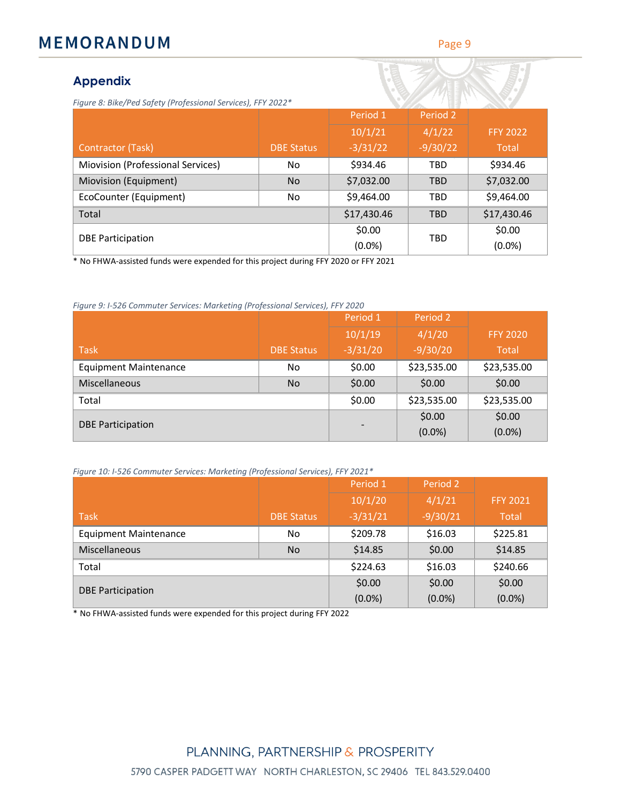#### Page 9

### **Appendix**

| Figure 8: Bike/Ped Safety (Professional Services), FFY 2022* |                   |             |            |                 |
|--------------------------------------------------------------|-------------------|-------------|------------|-----------------|
|                                                              |                   | Period 1    | Period 2   |                 |
|                                                              |                   | 10/1/21     | 4/1/22     | <b>FFY 2022</b> |
| Contractor (Task)                                            | <b>DBE Status</b> | $-3/31/22$  | $-9/30/22$ | Total           |
| Miovision (Professional Services)                            | No                | \$934.46    | <b>TBD</b> | \$934.46        |
| Miovision (Equipment)                                        | <b>No</b>         | \$7,032.00  | <b>TBD</b> | \$7,032.00      |
| EcoCounter (Equipment)                                       | No                | \$9,464.00  | <b>TBD</b> | \$9,464.00      |
| Total                                                        |                   | \$17,430.46 | <b>TBD</b> | \$17,430.46     |
|                                                              |                   | \$0.00      | <b>TBD</b> | \$0.00          |
| <b>DBE Participation</b>                                     |                   | $(0.0\%)$   |            | (0.0%           |

No FHWA-assisted funds were expended for this project during FFY 2020 or FFY 2021

*Figure 9: I-526 Commuter Services: Marketing (Professional Services), FFY 2020*

|                              |                   | Period 1   | Period 2    |                 |
|------------------------------|-------------------|------------|-------------|-----------------|
|                              |                   | 10/1/19    | 4/1/20      | <b>FFY 2020</b> |
| <b>Task</b>                  | <b>DBE Status</b> | $-3/31/20$ | $-9/30/20$  | <b>Total</b>    |
| <b>Equipment Maintenance</b> | No                | \$0.00     | \$23,535.00 | \$23,535.00     |
| <b>Miscellaneous</b>         | <b>No</b>         | \$0.00     | \$0.00      | \$0.00          |
| Total                        |                   | \$0.00     | \$23,535.00 | \$23,535.00     |
| <b>DBE Participation</b>     |                   |            | \$0.00      | \$0.00          |
|                              |                   |            | (0.0%       | $(0.0\%)$       |

*Figure 10: I-526 Commuter Services: Marketing (Professional Services), FFY 2021\**

|                              |                   | Period 1   | Period 2   |                 |
|------------------------------|-------------------|------------|------------|-----------------|
|                              |                   | 10/1/20    | 4/1/21     | <b>FFY 2021</b> |
| <b>Task</b>                  | <b>DBE Status</b> | $-3/31/21$ | $-9/30/21$ | <b>Total</b>    |
| <b>Equipment Maintenance</b> | No                | \$209.78   | \$16.03    | \$225.81        |
| <b>Miscellaneous</b>         | <b>No</b>         | \$14.85    | \$0.00     | \$14.85         |
| Total                        |                   | \$224.63   | \$16.03    | \$240.66        |
| <b>DBE Participation</b>     |                   | \$0.00     | \$0.00     | \$0.00          |
|                              |                   | $(0.0\%)$  | $(0.0\%)$  | $(0.0\%)$       |

\* No FHWA-assisted funds were expended for this project during FFY 2022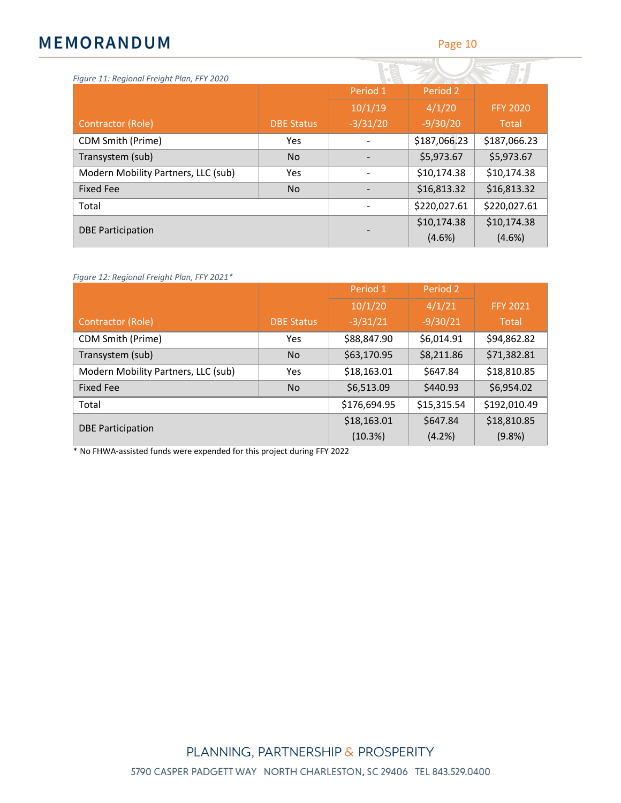Page 10

| Figure 11: Regional Freight Plan, FFY 2020 |                   |            |              |                 |
|--------------------------------------------|-------------------|------------|--------------|-----------------|
|                                            |                   | Period 1   | Period 2     |                 |
|                                            |                   | 10/1/19    | 4/1/20       | <b>FFY 2020</b> |
| Contractor (Role)                          | <b>DBE Status</b> | $-3/31/20$ | $-9/30/20$   | Total           |
| CDM Smith (Prime)                          | <b>Yes</b>        |            | \$187,066.23 | \$187,066.23    |
| Transystem (sub)                           | <b>No</b>         |            | \$5,973.67   | \$5,973.67      |
| Modern Mobility Partners, LLC (sub)        | <b>Yes</b>        |            | \$10,174.38  | \$10,174.38     |
| <b>Fixed Fee</b>                           | <b>No</b>         |            | \$16,813.32  | \$16,813.32     |
| Total                                      |                   |            | \$220,027.61 | \$220,027.61    |
| <b>DBE Participation</b>                   |                   |            | \$10,174.38  | \$10,174.38     |
|                                            |                   |            | $(4.6\%)$    | $(4.6\%)$       |

*Figure 12: Regional Freight Plan, FFY 2021\**

|                                     |                   | Period 1     | Period 2    |                 |
|-------------------------------------|-------------------|--------------|-------------|-----------------|
|                                     |                   | 10/1/20      | 4/1/21      | <b>FFY 2021</b> |
| Contractor (Role)                   | <b>DBE Status</b> | $-3/31/21$   | $-9/30/21$  | Total           |
| CDM Smith (Prime)                   | Yes               | \$88,847.90  | \$6,014.91  | \$94,862.82     |
| Transystem (sub)                    | <b>No</b>         | \$63,170.95  | \$8,211.86  | \$71,382.81     |
| Modern Mobility Partners, LLC (sub) | Yes               | \$18,163.01  | \$647.84    | \$18,810.85     |
| Fixed Fee                           | <b>No</b>         | \$6,513.09   | \$440.93    | \$6,954.02      |
| Total                               |                   | \$176,694.95 | \$15,315.54 | \$192,010.49    |
| <b>DBE Participation</b>            | \$18,163.01       | \$647.84     | \$18,810.85 |                 |
|                                     |                   | (10.3%)      | (4.2%)      | (9.8% )         |

\* No FHWA-assisted funds were expended for this project during FFY 2022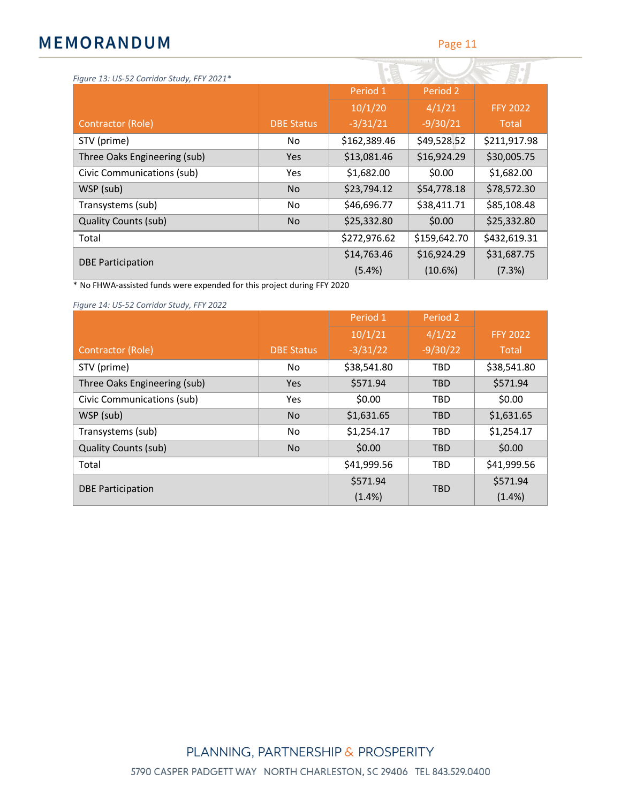| Figure 13: US-52 Corridor Study, FFY 2021* |                   |              |              |                 |
|--------------------------------------------|-------------------|--------------|--------------|-----------------|
|                                            |                   | Period 1     | Period 2     |                 |
|                                            |                   | 10/1/20      | 4/1/21       | <b>FFY 2022</b> |
| Contractor (Role)                          | <b>DBE Status</b> | $-3/31/21$   | $-9/30/21$   | Total           |
| STV (prime)                                | No                | \$162,389.46 | \$49,528.52  | \$211,917.98    |
| Three Oaks Engineering (sub)               | Yes               | \$13,081.46  | \$16,924.29  | \$30,005.75     |
| Civic Communications (sub)                 | Yes.              | \$1,682.00   | \$0.00       | \$1,682.00      |
| WSP (sub)                                  | <b>No</b>         | \$23,794.12  | \$54,778.18  | \$78,572.30     |
| Transystems (sub)                          | No                | \$46,696.77  | \$38,411.71  | \$85,108.48     |
| <b>Quality Counts (sub)</b>                | <b>No</b>         | \$25,332.80  | \$0.00       | \$25,332.80     |
| Total                                      |                   | \$272,976.62 | \$159,642.70 | \$432,619.31    |
|                                            |                   | \$14,763.46  | \$16,924.29  | \$31,687.75     |
| <b>DBE Participation</b>                   |                   | (5.4%)       | (10.6%)      | (7.3%)          |

\* No FHWA-assisted funds were expended for this project during FFY 2020

*Figure 14: US-52 Corridor Study, FFY 2022*

|                              |                   | Period 1    | Period 2   |                 |
|------------------------------|-------------------|-------------|------------|-----------------|
|                              |                   | 10/1/21     | 4/1/22     | <b>FFY 2022</b> |
| Contractor (Role)            | <b>DBE Status</b> | $-3/31/22$  | $-9/30/22$ | Total           |
| STV (prime)                  | No                | \$38,541.80 | <b>TBD</b> | \$38,541.80     |
| Three Oaks Engineering (sub) | <b>Yes</b>        | \$571.94    | <b>TBD</b> | \$571.94        |
| Civic Communications (sub)   | <b>Yes</b>        | \$0.00      | <b>TBD</b> | \$0.00          |
| WSP (sub)                    | <b>No</b>         | \$1,631.65  | <b>TBD</b> | \$1,631.65      |
| Transystems (sub)            | No                | \$1,254.17  | <b>TBD</b> | \$1,254.17      |
| <b>Quality Counts (sub)</b>  | <b>No</b>         | \$0.00      | <b>TBD</b> | \$0.00          |
| Total                        |                   | \$41,999.56 | <b>TBD</b> | \$41,999.56     |
| <b>DBE Participation</b>     |                   | \$571.94    | <b>TBD</b> | \$571.94        |
|                              |                   | $(1.4\%)$   |            | $(1.4\%)$       |